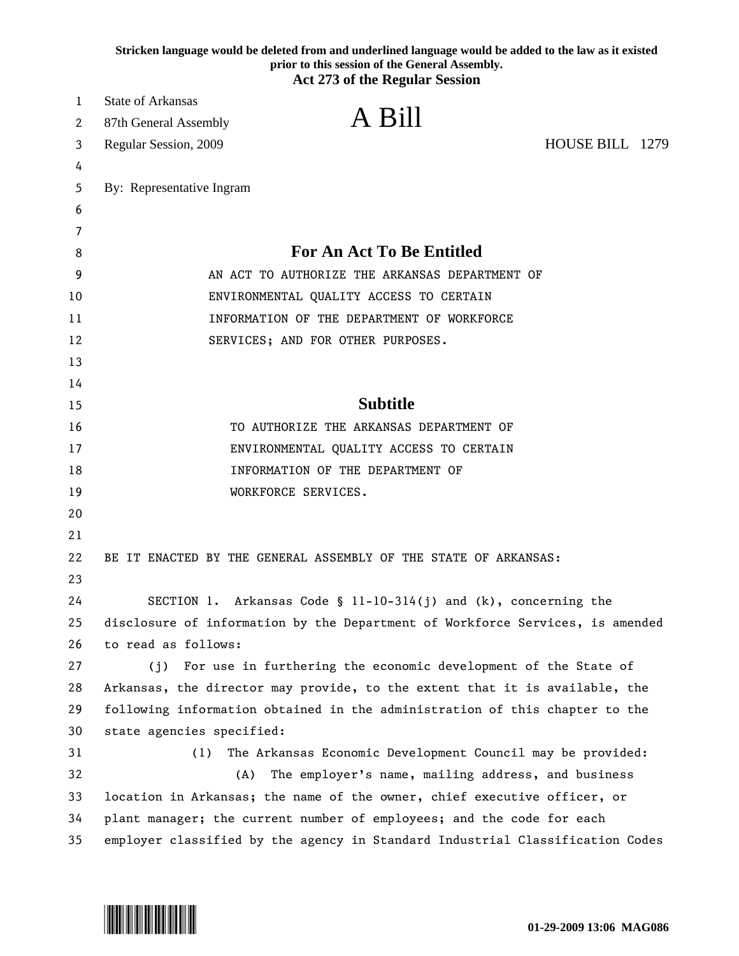|    | Stricken language would be deleted from and underlined language would be added to the law as it existed<br>prior to this session of the General Assembly.<br><b>Act 273 of the Regular Session</b> |
|----|----------------------------------------------------------------------------------------------------------------------------------------------------------------------------------------------------|
| 1  | <b>State of Arkansas</b>                                                                                                                                                                           |
| 2  | A Bill<br>87th General Assembly                                                                                                                                                                    |
| 3  | HOUSE BILL 1279<br>Regular Session, 2009                                                                                                                                                           |
| 4  |                                                                                                                                                                                                    |
| 5  | By: Representative Ingram                                                                                                                                                                          |
| 6  |                                                                                                                                                                                                    |
| 7  |                                                                                                                                                                                                    |
| 8  | <b>For An Act To Be Entitled</b>                                                                                                                                                                   |
| 9  | AN ACT TO AUTHORIZE THE ARKANSAS DEPARTMENT OF                                                                                                                                                     |
| 10 | ENVIRONMENTAL QUALITY ACCESS TO CERTAIN                                                                                                                                                            |
| 11 | INFORMATION OF THE DEPARTMENT OF WORKFORCE                                                                                                                                                         |
| 12 | SERVICES; AND FOR OTHER PURPOSES.                                                                                                                                                                  |
| 13 |                                                                                                                                                                                                    |
| 14 |                                                                                                                                                                                                    |
| 15 | <b>Subtitle</b>                                                                                                                                                                                    |
| 16 | TO AUTHORIZE THE ARKANSAS DEPARTMENT OF                                                                                                                                                            |
| 17 | ENVIRONMENTAL QUALITY ACCESS TO CERTAIN                                                                                                                                                            |
| 18 | INFORMATION OF THE DEPARTMENT OF                                                                                                                                                                   |
| 19 | WORKFORCE SERVICES.                                                                                                                                                                                |
| 20 |                                                                                                                                                                                                    |
| 21 |                                                                                                                                                                                                    |
| 22 | BE IT ENACTED BY THE GENERAL ASSEMBLY OF THE STATE OF ARKANSAS:                                                                                                                                    |
| 23 |                                                                                                                                                                                                    |
| 24 | SECTION 1. Arkansas Code § 11-10-314(j) and $(k)$ , concerning the                                                                                                                                 |
| 25 | disclosure of information by the Department of Workforce Services, is amended                                                                                                                      |
| 26 | to read as follows:                                                                                                                                                                                |
| 27 | (j) For use in furthering the economic development of the State of                                                                                                                                 |
| 28 | Arkansas, the director may provide, to the extent that it is available, the                                                                                                                        |
| 29 | following information obtained in the administration of this chapter to the                                                                                                                        |
| 30 | state agencies specified:                                                                                                                                                                          |
| 31 | The Arkansas Economic Development Council may be provided:<br>(1)                                                                                                                                  |
| 32 | The employer's name, mailing address, and business<br>(A)                                                                                                                                          |
| 33 | location in Arkansas; the name of the owner, chief executive officer, or                                                                                                                           |
| 34 | plant manager; the current number of employees; and the code for each                                                                                                                              |
| 35 | employer classified by the agency in Standard Industrial Classification Codes                                                                                                                      |

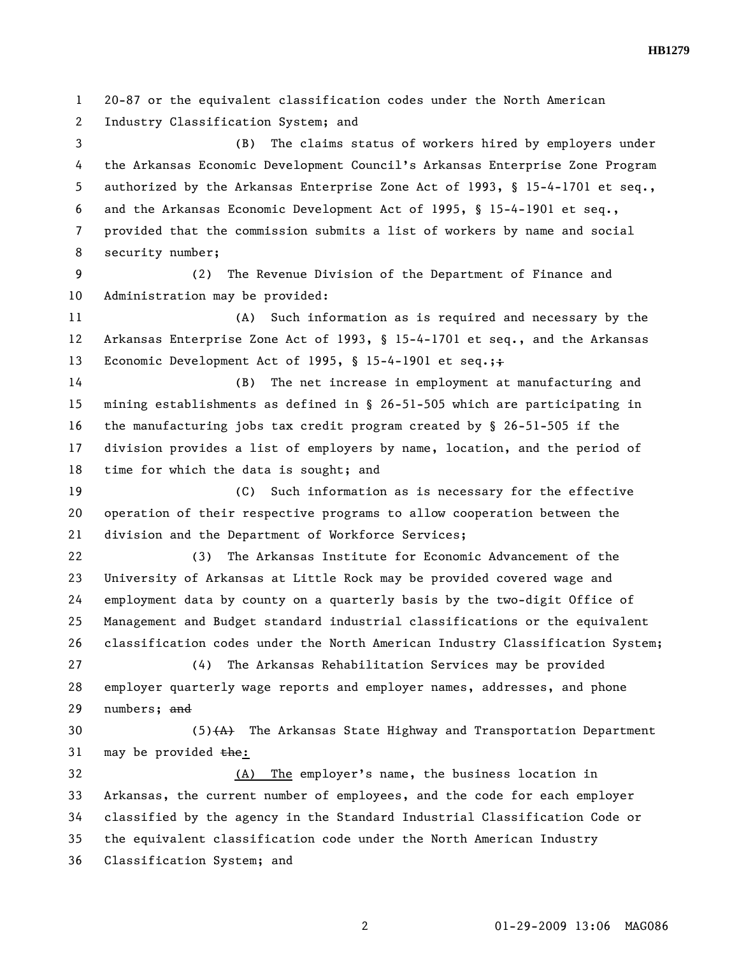**HB1279** 

1 20-87 or the equivalent classification codes under the North American 2 Industry Classification System; and 3 (B) The claims status of workers hired by employers under 4 the Arkansas Economic Development Council's Arkansas Enterprise Zone Program 5 authorized by the Arkansas Enterprise Zone Act of 1993, § 15-4-1701 et seq., 6 and the Arkansas Economic Development Act of 1995, § 15-4-1901 et seq., 7 provided that the commission submits a list of workers by name and social 8 security number; 9 (2) The Revenue Division of the Department of Finance and 10 Administration may be provided: 11 (A) Such information as is required and necessary by the 12 Arkansas Enterprise Zone Act of 1993, § 15-4-1701 et seq., and the Arkansas 13 Economic Development Act of 1995, § 15-4-1901 et seq.; + 14 (B) The net increase in employment at manufacturing and 15 mining establishments as defined in § 26-51-505 which are participating in 16 the manufacturing jobs tax credit program created by § 26-51-505 if the 17 division provides a list of employers by name, location, and the period of 18 time for which the data is sought; and 19 (C) Such information as is necessary for the effective 20 operation of their respective programs to allow cooperation between the 21 division and the Department of Workforce Services; 22 (3) The Arkansas Institute for Economic Advancement of the 23 University of Arkansas at Little Rock may be provided covered wage and 24 employment data by county on a quarterly basis by the two-digit Office of 25 Management and Budget standard industrial classifications or the equivalent 26 classification codes under the North American Industry Classification System; 27 (4) The Arkansas Rehabilitation Services may be provided 28 employer quarterly wage reports and employer names, addresses, and phone 29 numbers; and 30 (5)(A) The Arkansas State Highway and Transportation Department 31 may be provided  $the:$ 32 (A) The employer's name, the business location in 33 Arkansas, the current number of employees, and the code for each employer 34 classified by the agency in the Standard Industrial Classification Code or 35 the equivalent classification code under the North American Industry 36 Classification System; and

2 01-29-2009 13:06 MAG086